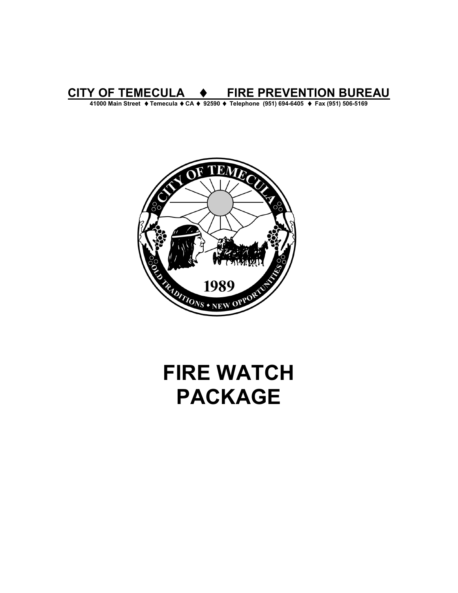# **CITY OF TEMECULA** ♦ **FIRE PREVENTION BUREAU**

**41000 Main Street** ♦ **Temecula** ♦ **CA** ♦ **92590** ♦ **Telephone (951) 694-6405** ♦ **Fax (951) 506-5169** 



# **FIRE WATCH PACKAGE**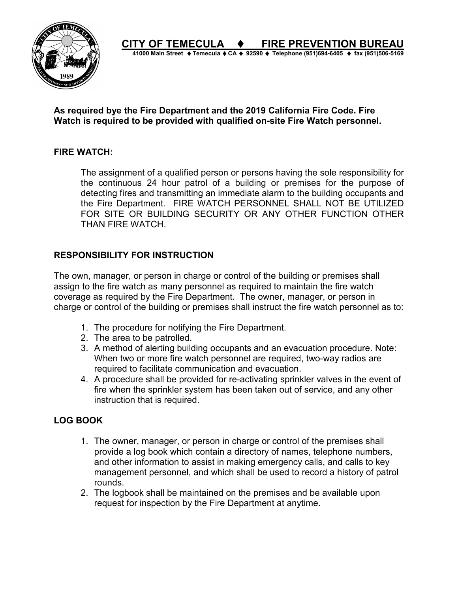

**CITY OF TEMECULA** ♦ **FIRE PREVENTION BUREAU 41000 Main Street** ♦ **Temecula** ♦ **CA** ♦ **92590** ♦ **Telephone (951)694-6405** ♦ **fax (951)506-5169** 

#### **As required bye the Fire Department and the 2019 California Fire Code. Fire Watch is required to be provided with qualified on-site Fire Watch personnel.**

#### **FIRE WATCH:**

The assignment of a qualified person or persons having the sole responsibility for the continuous 24 hour patrol of a building or premises for the purpose of detecting fires and transmitting an immediate alarm to the building occupants and the Fire Department. FIRE WATCH PERSONNEL SHALL NOT BE UTILIZED FOR SITE OR BUILDING SECURITY OR ANY OTHER FUNCTION OTHER THAN FIRE WATCH.

#### **RESPONSIBILITY FOR INSTRUCTION**

The own, manager, or person in charge or control of the building or premises shall assign to the fire watch as many personnel as required to maintain the fire watch coverage as required by the Fire Department. The owner, manager, or person in charge or control of the building or premises shall instruct the fire watch personnel as to:

- 1. The procedure for notifying the Fire Department.
- 2. The area to be patrolled.
- 3. A method of alerting building occupants and an evacuation procedure. Note: When two or more fire watch personnel are required, two-way radios are required to facilitate communication and evacuation.
- 4. A procedure shall be provided for re-activating sprinkler valves in the event of fire when the sprinkler system has been taken out of service, and any other instruction that is required.

## **LOG BOOK**

- 1. The owner, manager, or person in charge or control of the premises shall provide a log book which contain a directory of names, telephone numbers, and other information to assist in making emergency calls, and calls to key management personnel, and which shall be used to record a history of patrol rounds.
- 2. The logbook shall be maintained on the premises and be available upon request for inspection by the Fire Department at anytime.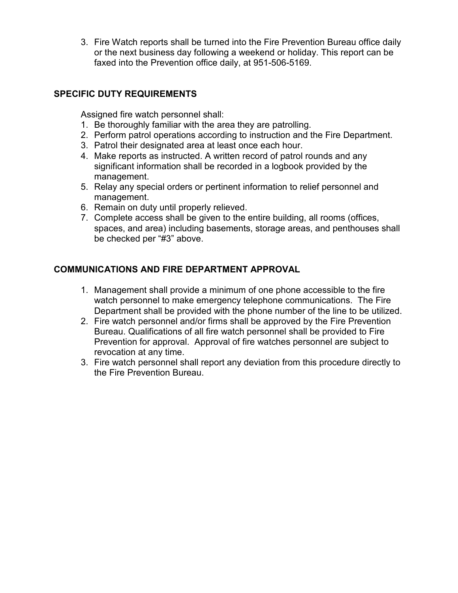3. Fire Watch reports shall be turned into the Fire Prevention Bureau office daily or the next business day following a weekend or holiday. This report can be faxed into the Prevention office daily, at 951-506-5169.

# **SPECIFIC DUTY REQUIREMENTS**

Assigned fire watch personnel shall:

- 1. Be thoroughly familiar with the area they are patrolling.
- 2. Perform patrol operations according to instruction and the Fire Department.
- 3. Patrol their designated area at least once each hour.
- 4. Make reports as instructed. A written record of patrol rounds and any significant information shall be recorded in a logbook provided by the management.
- 5. Relay any special orders or pertinent information to relief personnel and management.
- 6. Remain on duty until properly relieved.
- 7. Complete access shall be given to the entire building, all rooms (offices, spaces, and area) including basements, storage areas, and penthouses shall be checked per "#3" above.

## **COMMUNICATIONS AND FIRE DEPARTMENT APPROVAL**

- 1. Management shall provide a minimum of one phone accessible to the fire watch personnel to make emergency telephone communications. The Fire Department shall be provided with the phone number of the line to be utilized.
- 2. Fire watch personnel and/or firms shall be approved by the Fire Prevention Bureau. Qualifications of all fire watch personnel shall be provided to Fire Prevention for approval. Approval of fire watches personnel are subject to revocation at any time.
- 3. Fire watch personnel shall report any deviation from this procedure directly to the Fire Prevention Bureau.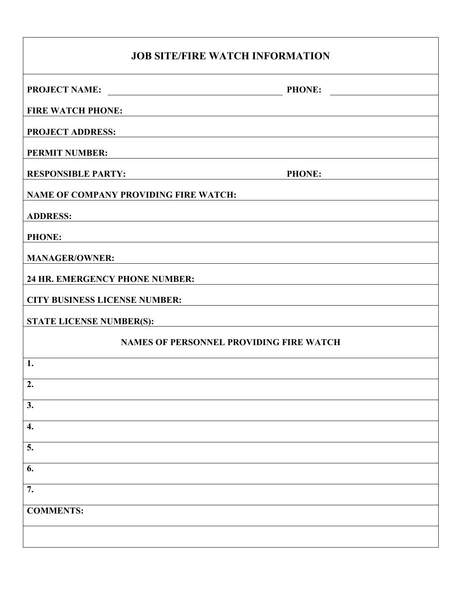| <b>JOB SITE/FIRE WATCH INFORMATION</b>                                                                                                                  |  |  |  |
|---------------------------------------------------------------------------------------------------------------------------------------------------------|--|--|--|
| <b>PROJECT NAME:</b><br>PHONE:                                                                                                                          |  |  |  |
| <b>FIRE WATCH PHONE:</b><br><u> 1989 - Jan Sterling Sterling (f. 1989)</u>                                                                              |  |  |  |
| <b>PROJECT ADDRESS:</b>                                                                                                                                 |  |  |  |
| <b>PERMIT NUMBER:</b>                                                                                                                                   |  |  |  |
| <b>RESPONSIBLE PARTY:</b><br><b>PHONE:</b><br><u> 1980 - Johann Barbara, martxa alemaniar a</u>                                                         |  |  |  |
| <b>NAME OF COMPANY PROVIDING FIRE WATCH:</b>                                                                                                            |  |  |  |
| <b>ADDRESS:</b><br><u> 1989 - Johann Stoff, deutscher Stoff, der Stoff, der Stoff, der Stoff, der Stoff, der Stoff, der Stoff, der S</u>                |  |  |  |
| <b>PHONE:</b>                                                                                                                                           |  |  |  |
| <b>MANAGER/OWNER:</b>                                                                                                                                   |  |  |  |
| <b>24 HR. EMERGENCY PHONE NUMBER:</b><br><u> 1980 - Johann John Stein, fransk politik (f. 1980)</u>                                                     |  |  |  |
| <b>CITY BUSINESS LICENSE NUMBER:</b>                                                                                                                    |  |  |  |
| <b>STATE LICENSE NUMBER(S):</b><br><u> 1980 - Johann Barn, mars ann an t-Amhain Aonaich an t-Aonaich an t-Aonaich ann an t-Aonaich ann an t-Aonaich</u> |  |  |  |
| <b>NAMES OF PERSONNEL PROVIDING FIRE WATCH</b>                                                                                                          |  |  |  |
| 1.                                                                                                                                                      |  |  |  |
| 2.                                                                                                                                                      |  |  |  |
| 3.                                                                                                                                                      |  |  |  |
| 4.                                                                                                                                                      |  |  |  |
| 5.                                                                                                                                                      |  |  |  |
| 6.                                                                                                                                                      |  |  |  |
| 7.                                                                                                                                                      |  |  |  |
| <b>COMMENTS:</b>                                                                                                                                        |  |  |  |
|                                                                                                                                                         |  |  |  |